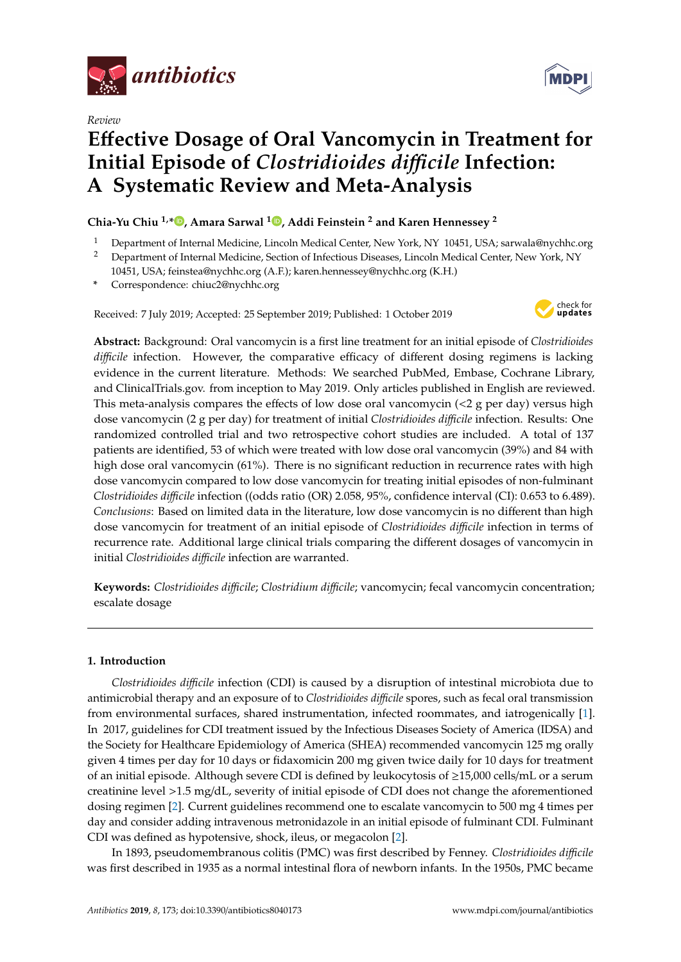

*Review*



# **E**ff**ective Dosage of Oral Vancomycin in Treatment for Initial Episode of** *Clostridioides di*ffi*cile* **Infection: A Systematic Review and Meta-Analysis**

# **Chia-Yu Chiu 1,[\\*](https://orcid.org/0000-0002-5241-3435) , Amara Sarwal <sup>1</sup> [,](https://orcid.org/0000-0002-6050-6674) Addi Feinstein <sup>2</sup> and Karen Hennessey <sup>2</sup>**

- <sup>1</sup> Department of Internal Medicine, Lincoln Medical Center, New York, NY 10451, USA; sarwala@nychhc.org
- <sup>2</sup> Department of Internal Medicine, Section of Infectious Diseases, Lincoln Medical Center, New York, NY 10451, USA; feinstea@nychhc.org (A.F.); karen.hennessey@nychhc.org (K.H.)
- **\*** Correspondence: chiuc2@nychhc.org

Received: 7 July 2019; Accepted: 25 September 2019; Published: 1 October 2019



**Abstract:** Background: Oral vancomycin is a first line treatment for an initial episode of *Clostridioides di*ffi*cile* infection. However, the comparative efficacy of different dosing regimens is lacking evidence in the current literature. Methods: We searched PubMed, Embase, Cochrane Library, and ClinicalTrials.gov. from inception to May 2019. Only articles published in English are reviewed. This meta-analysis compares the effects of low dose oral vancomycin  $\left($  <2 g per day) versus high dose vancomycin (2 g per day) for treatment of initial *Clostridioides di*ffi*cile* infection. Results: One randomized controlled trial and two retrospective cohort studies are included. A total of 137 patients are identified, 53 of which were treated with low dose oral vancomycin (39%) and 84 with high dose oral vancomycin (61%). There is no significant reduction in recurrence rates with high dose vancomycin compared to low dose vancomycin for treating initial episodes of non-fulminant *Clostridioides di*ffi*cile* infection ((odds ratio (OR) 2.058, 95%, confidence interval (CI): 0.653 to 6.489). *Conclusions*: Based on limited data in the literature, low dose vancomycin is no different than high dose vancomycin for treatment of an initial episode of *Clostridioides di*ffi*cile* infection in terms of recurrence rate. Additional large clinical trials comparing the different dosages of vancomycin in initial *Clostridioides di*ffi*cile* infection are warranted.

**Keywords:** *Clostridioides di*ffi*cile*; *Clostridium di*ffi*cile*; vancomycin; fecal vancomycin concentration; escalate dosage

# **1. Introduction**

*Clostridioides di*ffi*cile* infection (CDI) is caused by a disruption of intestinal microbiota due to antimicrobial therapy and an exposure of to *Clostridioides di*ffi*cile* spores, such as fecal oral transmission from environmental surfaces, shared instrumentation, infected roommates, and iatrogenically [\[1\]](#page-6-0). In 2017, guidelines for CDI treatment issued by the Infectious Diseases Society of America (IDSA) and the Society for Healthcare Epidemiology of America (SHEA) recommended vancomycin 125 mg orally given 4 times per day for 10 days or fidaxomicin 200 mg given twice daily for 10 days for treatment of an initial episode. Although severe CDI is defined by leukocytosis of ≥15,000 cells/mL or a serum creatinine level >1.5 mg/dL, severity of initial episode of CDI does not change the aforementioned dosing regimen [\[2\]](#page-6-1). Current guidelines recommend one to escalate vancomycin to 500 mg 4 times per day and consider adding intravenous metronidazole in an initial episode of fulminant CDI. Fulminant CDI was defined as hypotensive, shock, ileus, or megacolon [\[2\]](#page-6-1).

In 1893, pseudomembranous colitis (PMC) was first described by Fenney. *Clostridioides di*ffi*cile* was first described in 1935 as a normal intestinal flora of newborn infants. In the 1950s, PMC became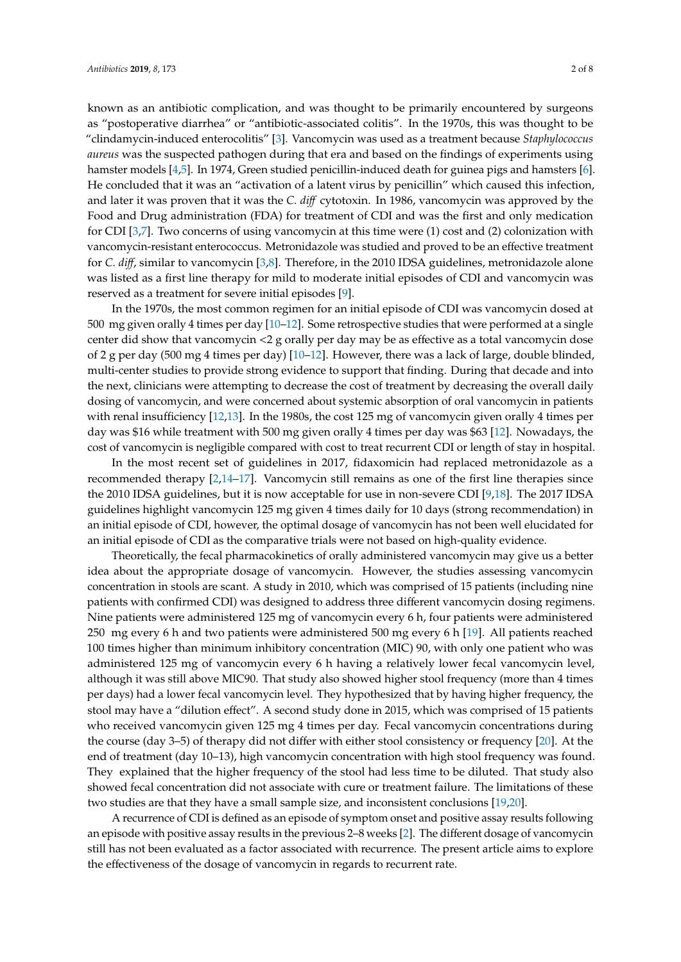known as an antibiotic complication, and was thought to be primarily encountered by surgeons as "postoperative diarrhea" or "antibiotic-associated colitis". In the 1970s, this was thought to be "clindamycin-induced enterocolitis" [\[3\]](#page-6-2). Vancomycin was used as a treatment because *Staphylococcus aureus* was the suspected pathogen during that era and based on the findings of experiments using hamster models [\[4](#page-6-3)[,5\]](#page-6-4). In 1974, Green studied penicillin-induced death for guinea pigs and hamsters [\[6\]](#page-6-5). He concluded that it was an "activation of a latent virus by penicillin" which caused this infection, and later it was proven that it was the *C. di*ff cytotoxin. In 1986, vancomycin was approved by the Food and Drug administration (FDA) for treatment of CDI and was the first and only medication for CDI [\[3,](#page-6-2)[7\]](#page-6-6). Two concerns of using vancomycin at this time were (1) cost and (2) colonization with vancomycin-resistant enterococcus. Metronidazole was studied and proved to be an effective treatment for *C. di*ff, similar to vancomycin [\[3](#page-6-2)[,8\]](#page-6-7). Therefore, in the 2010 IDSA guidelines, metronidazole alone was listed as a first line therapy for mild to moderate initial episodes of CDI and vancomycin was reserved as a treatment for severe initial episodes [\[9\]](#page-6-8).

In the 1970s, the most common regimen for an initial episode of CDI was vancomycin dosed at 500 mg given orally 4 times per day [\[10](#page-6-9)[–12\]](#page-6-10). Some retrospective studies that were performed at a single center did show that vancomycin <2 g orally per day may be as effective as a total vancomycin dose of 2 g per day (500 mg 4 times per day) [\[10](#page-6-9)[–12\]](#page-6-10). However, there was a lack of large, double blinded, multi-center studies to provide strong evidence to support that finding. During that decade and into the next, clinicians were attempting to decrease the cost of treatment by decreasing the overall daily dosing of vancomycin, and were concerned about systemic absorption of oral vancomycin in patients with renal insufficiency [\[12,](#page-6-10)[13\]](#page-6-11). In the 1980s, the cost 125 mg of vancomycin given orally 4 times per day was \$16 while treatment with 500 mg given orally 4 times per day was \$63 [\[12\]](#page-6-10). Nowadays, the cost of vancomycin is negligible compared with cost to treat recurrent CDI or length of stay in hospital.

In the most recent set of guidelines in 2017, fidaxomicin had replaced metronidazole as a recommended therapy [\[2,](#page-6-1)[14–](#page-6-12)[17\]](#page-7-0). Vancomycin still remains as one of the first line therapies since the 2010 IDSA guidelines, but it is now acceptable for use in non-severe CDI [\[9](#page-6-8)[,18\]](#page-7-1). The 2017 IDSA guidelines highlight vancomycin 125 mg given 4 times daily for 10 days (strong recommendation) in an initial episode of CDI, however, the optimal dosage of vancomycin has not been well elucidated for an initial episode of CDI as the comparative trials were not based on high-quality evidence.

Theoretically, the fecal pharmacokinetics of orally administered vancomycin may give us a better idea about the appropriate dosage of vancomycin. However, the studies assessing vancomycin concentration in stools are scant. A study in 2010, which was comprised of 15 patients (including nine patients with confirmed CDI) was designed to address three different vancomycin dosing regimens. Nine patients were administered 125 mg of vancomycin every 6 h, four patients were administered 250 mg every 6 h and two patients were administered 500 mg every 6 h [\[19\]](#page-7-2). All patients reached 100 times higher than minimum inhibitory concentration (MIC) 90, with only one patient who was administered 125 mg of vancomycin every 6 h having a relatively lower fecal vancomycin level, although it was still above MIC90. That study also showed higher stool frequency (more than 4 times per days) had a lower fecal vancomycin level. They hypothesized that by having higher frequency, the stool may have a "dilution effect". A second study done in 2015, which was comprised of 15 patients who received vancomycin given 125 mg 4 times per day. Fecal vancomycin concentrations during the course (day 3–5) of therapy did not differ with either stool consistency or frequency [\[20\]](#page-7-3). At the end of treatment (day 10–13), high vancomycin concentration with high stool frequency was found. They explained that the higher frequency of the stool had less time to be diluted. That study also showed fecal concentration did not associate with cure or treatment failure. The limitations of these two studies are that they have a small sample size, and inconsistent conclusions [\[19](#page-7-2)[,20\]](#page-7-3).

A recurrence of CDI is defined as an episode of symptom onset and positive assay results following an episode with positive assay results in the previous 2–8 weeks [\[2\]](#page-6-1). The different dosage of vancomycin still has not been evaluated as a factor associated with recurrence. The present article aims to explore the effectiveness of the dosage of vancomycin in regards to recurrent rate.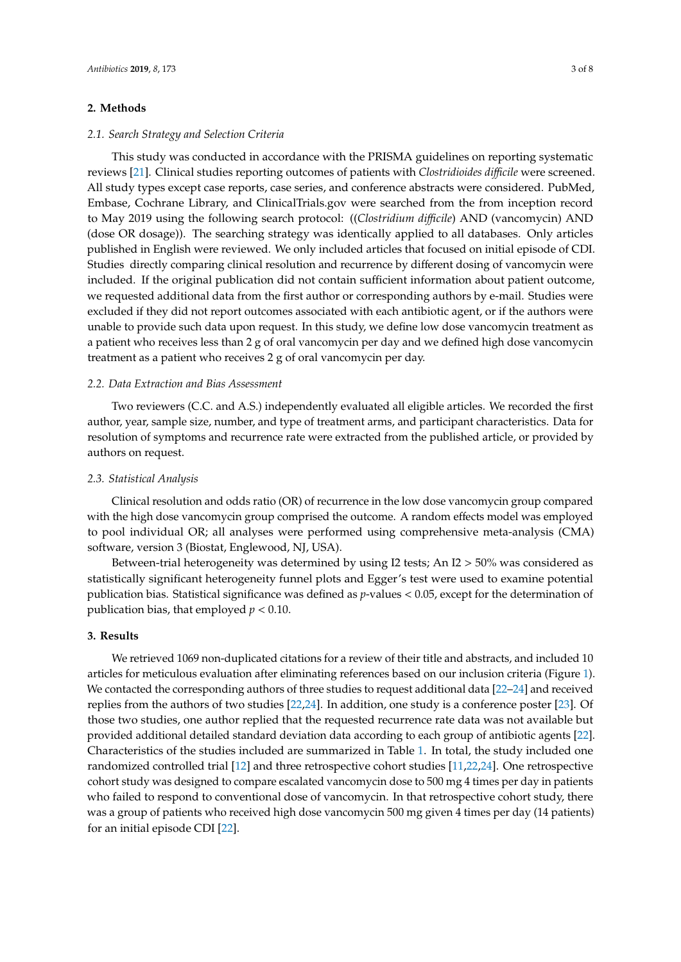# **2. Methods**

### *2.1. Search Strategy and Selection Criteria*

This study was conducted in accordance with the PRISMA guidelines on reporting systematic reviews [\[21\]](#page-7-4). Clinical studies reporting outcomes of patients with *Clostridioides di*ffi*cile* were screened. All study types except case reports, case series, and conference abstracts were considered. PubMed, Embase, Cochrane Library, and ClinicalTrials.gov were searched from the from inception record to May 2019 using the following search protocol: ((*Clostridium di*ffi*cile*) AND (vancomycin) AND (dose OR dosage)). The searching strategy was identically applied to all databases. Only articles published in English were reviewed. We only included articles that focused on initial episode of CDI. Studies directly comparing clinical resolution and recurrence by different dosing of vancomycin were included. If the original publication did not contain sufficient information about patient outcome, we requested additional data from the first author or corresponding authors by e-mail. Studies were excluded if they did not report outcomes associated with each antibiotic agent, or if the authors were unable to provide such data upon request. In this study, we define low dose vancomycin treatment as a patient who receives less than 2 g of oral vancomycin per day and we defined high dose vancomycin treatment as a patient who receives 2 g of oral vancomycin per day.

# *2.2. Data Extraction and Bias Assessment*

Two reviewers (C.C. and A.S.) independently evaluated all eligible articles. We recorded the first author, year, sample size, number, and type of treatment arms, and participant characteristics. Data for resolution of symptoms and recurrence rate were extracted from the published article, or provided by authors on request.

# *2.3. Statistical Analysis*

Clinical resolution and odds ratio (OR) of recurrence in the low dose vancomycin group compared with the high dose vancomycin group comprised the outcome. A random effects model was employed to pool individual OR; all analyses were performed using comprehensive meta-analysis (CMA) software, version 3 (Biostat, Englewood, NJ, USA).

Between-trial heterogeneity was determined by using I2 tests; An I2  $>$  50% was considered as statistically significant heterogeneity funnel plots and Egger's test were used to examine potential publication bias. Statistical significance was defined as *p*-values < 0.05, except for the determination of publication bias, that employed *p* < 0.10.

# **3. Results**

We retrieved 1069 non-duplicated citations for a review of their title and abstracts, and included 10 articles for meticulous evaluation after eliminating references based on our inclusion criteria (Figure [1\)](#page-3-0). We contacted the corresponding authors of three studies to request additional data [\[22](#page-7-5)[–24\]](#page-7-6) and received replies from the authors of two studies [\[22,](#page-7-5)[24\]](#page-7-6). In addition, one study is a conference poster [\[23\]](#page-7-7). Of those two studies, one author replied that the requested recurrence rate data was not available but provided additional detailed standard deviation data according to each group of antibiotic agents [\[22\]](#page-7-5). Characteristics of the studies included are summarized in Table [1.](#page-3-1) In total, the study included one randomized controlled trial [\[12\]](#page-6-10) and three retrospective cohort studies [\[11](#page-6-13)[,22](#page-7-5)[,24\]](#page-7-6). One retrospective cohort study was designed to compare escalated vancomycin dose to 500 mg 4 times per day in patients who failed to respond to conventional dose of vancomycin. In that retrospective cohort study, there was a group of patients who received high dose vancomycin 500 mg given 4 times per day (14 patients) for an initial episode CDI [\[22\]](#page-7-5).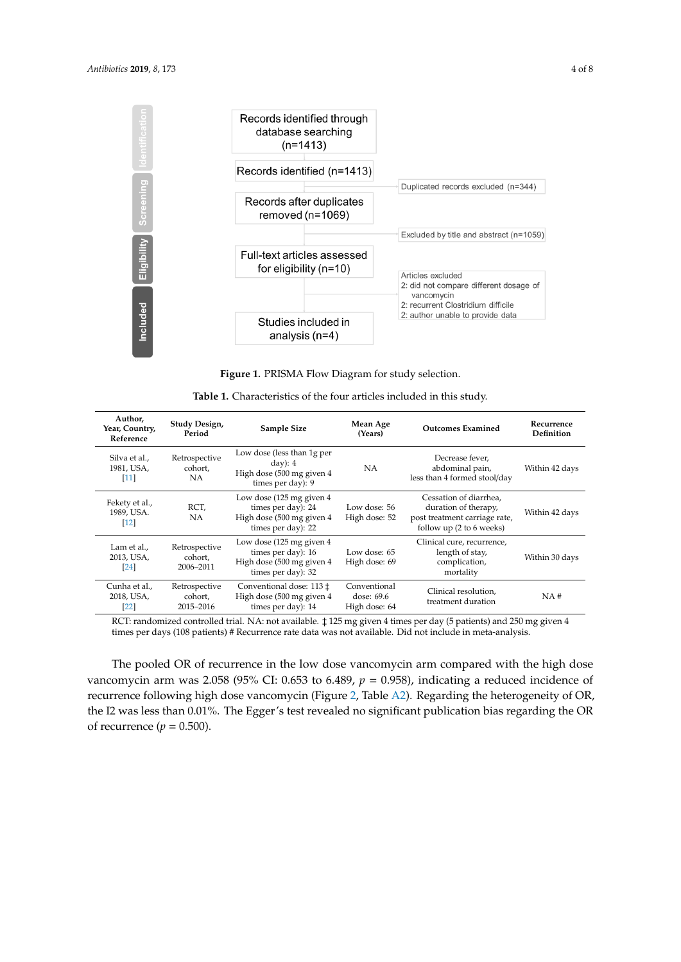<span id="page-3-0"></span>

**Figure 1.** PRISMA Flow Diagram for study selection. **Figure 1.** PRISMA Flow Diagram for study selection.

<span id="page-3-1"></span>

| Author,<br>Year, Country,<br>Reference           | Study Design,<br>Period               | <b>Sample Size</b>                                                                                                                                     | Mean Age<br>(Years)                                                                       | <b>Outcomes Examined</b>                                                                                    | Recurrence<br>Definition |
|--------------------------------------------------|---------------------------------------|--------------------------------------------------------------------------------------------------------------------------------------------------------|-------------------------------------------------------------------------------------------|-------------------------------------------------------------------------------------------------------------|--------------------------|
| Silva et al.,<br>1981, USA,<br> 11               | Retrospective<br>cohort,<br>NA.       | Low dose (less than 1g per<br>$day)$ : 4<br>NA<br>High dose (500 mg given 4<br>times per day): 9                                                       |                                                                                           | Decrease fever.<br>abdominal pain,<br>less than 4 formed stool/day                                          | Within 42 days           |
| Fekety et al.,<br>1989, USA.<br>$[12]$           | RCT,<br><b>NA</b>                     | Low dose $(125 \text{ mg} \text{ given } 4)$<br>times per day): 24<br>Low dose: 56<br>High dose (500 mg given 4<br>High dose: 52<br>times per day): 22 |                                                                                           | Cessation of diarrhea,<br>duration of therapy,<br>post treatment carriage rate,<br>follow up (2 to 6 weeks) | Within 42 days           |
| Lam et al.,<br>2013, USA,<br><b>24</b>           | Retrospective<br>cohort,<br>2006-2011 | Low dose $(125 \text{ mg} \text{ given } 4)$<br>times per day): 16<br>Low dose: 65<br>High dose (500 mg given 4<br>High dose: 69<br>times per day): 32 |                                                                                           | Clinical cure, recurrence,<br>length of stay,<br>complication,<br>mortality                                 | Within 30 days           |
| Cunha et al.,<br>2018, USA,<br>$\left[22\right]$ | Retrospective<br>cohort,<br>2015-2016 | Conventional dose: 113 ‡<br>High dose (500 mg given 4<br>times per day): 14                                                                            | Conventional<br>Clinical resolution.<br>dose: 69.6<br>treatment duration<br>High dose: 64 |                                                                                                             | NA#                      |

| <b>Table 1.</b> Characteristics of the four articles included in this study. |
|------------------------------------------------------------------------------|
|------------------------------------------------------------------------------|

next in andomized controlled trial. NA: not available.  $\frac{1}{2}$  125 mg given 4 times per day (5 patients) and 250 mg given 4 times per days (108 patients) # Recurrence rate data was not available. Did not include in meta-analysis.

The pooled OR of recurrence in the low dose vancomycin arm compared with the high dose recurrence following high dose vancomycin (Figure [2,](#page-4-0) Table [A2\)](#page-6-14). Regarding the heterogeneity of OR, the I2 was less than 0.01%. The Egger's test revealed no significant publication bias regarding the OR of recurrence  $(p = 0.500)$ .  $\frac{1}{2}$ vancomycin arm was 2.058 (95% CI: 0.653 to 6.489,  $p = 0.958$ ), indicating a reduced incidence of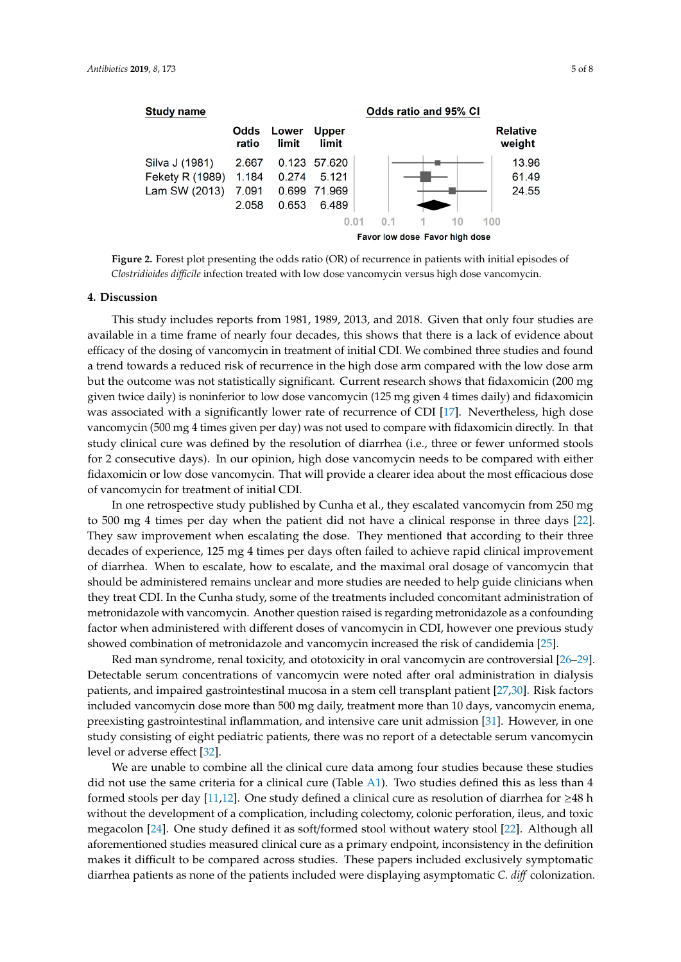<span id="page-4-0"></span>

**Figure 2.** Forest plot presenting the odds ratio (OR) of recurrence in patients with initial episodes of *Clostridioides difficile* infection treated with low dose vancomycin versus high dose vancomycin. *Clostridioides di*ffi*cile* infection treated with low dose vancomycin versus high dose vancomycin. **Figure 2.** Forest plot presenting the odds ratio (OR) of recurrence in patients with initial episodes of

### **4. Discussion**

**4. Discussion**  available in a time frame of nearly four decades, this shows that there is a lack of evidence about efficacy of the dosing of vancomycin in treatment of initial CDI. We combined three studies and found a trend towards a reduced risk of recurrence in the high dose arm compared with the low dose arm but the outcome was not statistically significant. Current research shows that fidaxomicin (200 mg given twice daily) is noninferior to low dose vancomycin (125 mg given 4 times daily) and fidaxomicin was associated with a significantly lower rate of recurrence of CDI [17]. Nevertheless, high dose vancomycin (500 mg 4 times given per day) was not used to compare with fidaxomicin directly. In that study clinical cure was defined by the resolution of diarrhea (i.e., three or fewer unformed stools for 2 consecutive days). In our opinion, high dose vancomycin needs to be compared with either fidaxomicin or low dose vancomycin. That will provide a clearer idea about the most efficacious dose of vancomycin for treatment of initial CDI. This study includes reports from 1981, 1989, 2013, and 2018. Given that only four studies are

In one retrospective study published by Cunha et al., they escalated vancomycin from 250 mg to 500 mg 4 times per day when the patient did not have a clinical response in three days [\[22\]](#page-7-5). They saw improvement when escalating the dose. They mentioned that according to their three decades of experience, 125 mg 4 times per days often failed to achieve rapid clinical improvement of diarrhea. When to escalate, how to escalate, and the maximal oral dosage of vancomycin that should be administered remains unclear and more studies are needed to help guide clinicians when they treat CDI. In the Cunha study, some of the treatments included concomitant administration of metronidazole with vancomycin. Another question raised is regarding metronidazole as a confounding factor when administered with different doses of vancomycin in CDI, however one previous study showed combination of metronidazole and vancomycin increased the risk of candidemia [\[25\]](#page-7-8).

Red man syndrome, renal toxicity, and ototoxicity in oral vancomycin are controversial [26-[29\]](#page-7-10). Detectable serum concentrations of vancomycin were noted after oral administration in dialysis patients, and impaired gastrointestinal mucosa in a stem cell transplant patient [\[27,](#page-7-11)[30\]](#page-7-12). Risk factors included vancomycin dose more than 500 mg daily, treatment more than 10 days, vancomycin enema, preexisting gastrointestinal inflammation, and intensive care unit admission [\[31\]](#page-7-13). However, in one study consisting of eight pediatric patients, there was no report of a detectable serum vancomycin level or adverse effect [\[32\]](#page-7-14).

We are unable to combine all the clinical cure data among four studies because these studies did not use the same criteria for a clinical cure (Table  $A1$ ). Two studies defined this as less than 4 formed stools per day [\[11,](#page-6-13)[12\]](#page-6-10). One study defined a clinical cure as resolution of diarrhea for ≥48 h without the development of a complication, including colectomy, colonic perforation, ileus, and toxic megacolon [\[24\]](#page-7-6). One study defined it as soft/formed stool without watery stool [\[22\]](#page-7-5). Although all aforementioned studies measured clinical cure as a primary endpoint, inconsistency in the definition makes it difficult to be compared across studies. These papers included exclusively symptomatic diarrhea patients as none of the patients included were displaying asymptomatic *C. di*ff colonization.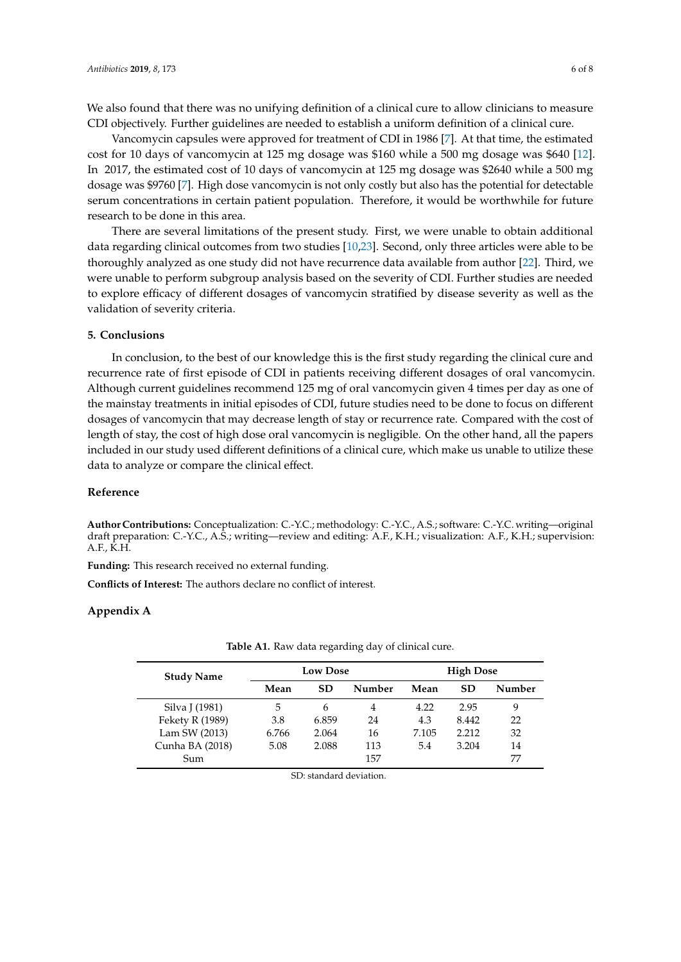We also found that there was no unifying definition of a clinical cure to allow clinicians to measure CDI objectively. Further guidelines are needed to establish a uniform definition of a clinical cure.

Vancomycin capsules were approved for treatment of CDI in 1986 [\[7\]](#page-6-6). At that time, the estimated cost for 10 days of vancomycin at 125 mg dosage was \$160 while a 500 mg dosage was \$640 [\[12\]](#page-6-10). In 2017, the estimated cost of 10 days of vancomycin at 125 mg dosage was \$2640 while a 500 mg dosage was \$9760 [\[7\]](#page-6-6). High dose vancomycin is not only costly but also has the potential for detectable serum concentrations in certain patient population. Therefore, it would be worthwhile for future research to be done in this area.

There are several limitations of the present study. First, we were unable to obtain additional data regarding clinical outcomes from two studies [\[10,](#page-6-9)[23\]](#page-7-7). Second, only three articles were able to be thoroughly analyzed as one study did not have recurrence data available from author [\[22\]](#page-7-5). Third, we were unable to perform subgroup analysis based on the severity of CDI. Further studies are needed to explore efficacy of different dosages of vancomycin stratified by disease severity as well as the validation of severity criteria.

# **5. Conclusions**

In conclusion, to the best of our knowledge this is the first study regarding the clinical cure and recurrence rate of first episode of CDI in patients receiving different dosages of oral vancomycin. Although current guidelines recommend 125 mg of oral vancomycin given 4 times per day as one of the mainstay treatments in initial episodes of CDI, future studies need to be done to focus on different dosages of vancomycin that may decrease length of stay or recurrence rate. Compared with the cost of length of stay, the cost of high dose oral vancomycin is negligible. On the other hand, all the papers included in our study used different definitions of a clinical cure, which make us unable to utilize these data to analyze or compare the clinical effect.

### **Reference**

**Author Contributions:** Conceptualization: C.-Y.C.; methodology: C.-Y.C., A.S.; software: C.-Y.C. writing—original draft preparation: C.-Y.C., A.S.; writing—review and editing: A.F., K.H.; visualization: A.F., K.H.; supervision: A.F., K.H.

**Funding:** This research received no external funding.

**Conflicts of Interest:** The authors declare no conflict of interest.

#### <span id="page-5-0"></span>**Appendix A**

| <b>Study Name</b> | <b>Low Dose</b> |           |        | <b>High Dose</b> |           |        |
|-------------------|-----------------|-----------|--------|------------------|-----------|--------|
|                   | Mean            | <b>SD</b> | Number | Mean             | <b>SD</b> | Number |
| Silva J (1981)    | 5               | 6         | 4      | 4.22             | 2.95      | 9      |
| Fekety R (1989)   | 3.8             | 6.859     | 24     | 4.3              | 8.442     | 22     |
| Lam SW (2013)     | 6.766           | 2.064     | 16     | 7.105            | 2.212     | 32     |
| Cunha BA (2018)   | 5.08            | 2.088     | 113    | 5.4              | 3.204     | 14     |
| Sum               |                 |           | 157    |                  |           | 77     |
|                   |                 |           |        |                  |           |        |

Table A1. Raw data regarding day of clinical cure.

SD: standard deviation.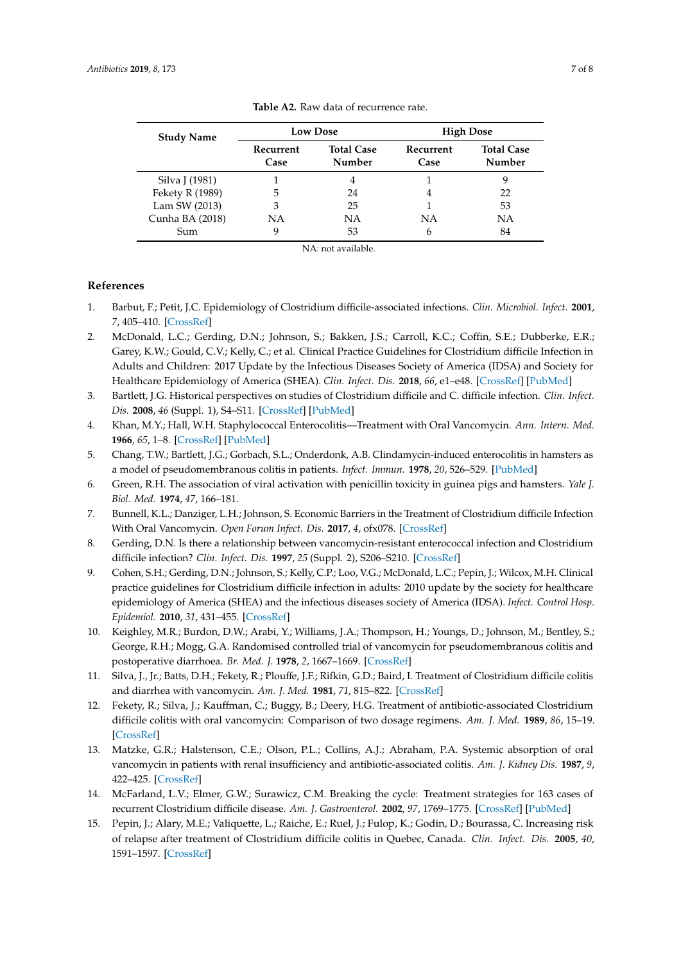<span id="page-6-14"></span>

| <b>Study Name</b> |                   | <b>Low Dose</b>             | <b>High Dose</b>  |                             |
|-------------------|-------------------|-----------------------------|-------------------|-----------------------------|
|                   | Recurrent<br>Case | <b>Total Case</b><br>Number | Recurrent<br>Case | <b>Total Case</b><br>Number |
| Silva J (1981)    |                   |                             |                   |                             |
| Fekety R (1989)   | 5                 | 24                          |                   | 22                          |
| Lam SW (2013)     | 3                 | 25                          |                   | 53                          |
| Cunha BA (2018)   | ΝA                | ΝA                          | ΝA                | NА                          |
| Sum               |                   | 53                          | 6                 | 84                          |

**Table A2.** Raw data of recurrence rate.

NA: not available.

# **References**

- <span id="page-6-0"></span>1. Barbut, F.; Petit, J.C. Epidemiology of Clostridium difficile-associated infections. *Clin. Microbiol. Infect.* **2001**, *7*, 405–410. [\[CrossRef\]](http://dx.doi.org/10.1046/j.1198-743x.2001.00289.x)
- <span id="page-6-1"></span>2. McDonald, L.C.; Gerding, D.N.; Johnson, S.; Bakken, J.S.; Carroll, K.C.; Coffin, S.E.; Dubberke, E.R.; Garey, K.W.; Gould, C.V.; Kelly, C.; et al. Clinical Practice Guidelines for Clostridium difficile Infection in Adults and Children: 2017 Update by the Infectious Diseases Society of America (IDSA) and Society for Healthcare Epidemiology of America (SHEA). *Clin. Infect. Dis.* **2018**, *66*, e1–e48. [\[CrossRef\]](http://dx.doi.org/10.1093/cid/cix1085) [\[PubMed\]](http://www.ncbi.nlm.nih.gov/pubmed/29462280)
- <span id="page-6-2"></span>3. Bartlett, J.G. Historical perspectives on studies of Clostridium difficile and C. difficile infection. *Clin. Infect. Dis.* **2008**, *46* (Suppl. 1), S4–S11. [\[CrossRef\]](http://dx.doi.org/10.1086/521865) [\[PubMed\]](http://www.ncbi.nlm.nih.gov/pubmed/18177220)
- <span id="page-6-3"></span>4. Khan, M.Y.; Hall, W.H. Staphylococcal Enterocolitis—Treatment with Oral Vancomycin. *Ann. Intern. Med.* **1966**, *65*, 1–8. [\[CrossRef\]](http://dx.doi.org/10.7326/0003-4819-65-1-1) [\[PubMed\]](http://www.ncbi.nlm.nih.gov/pubmed/5936663)
- <span id="page-6-4"></span>5. Chang, T.W.; Bartlett, J.G.; Gorbach, S.L.; Onderdonk, A.B. Clindamycin-induced enterocolitis in hamsters as a model of pseudomembranous colitis in patients. *Infect. Immun.* **1978**, *20*, 526–529. [\[PubMed\]](http://www.ncbi.nlm.nih.gov/pubmed/669810)
- <span id="page-6-5"></span>6. Green, R.H. The association of viral activation with penicillin toxicity in guinea pigs and hamsters. *Yale J. Biol. Med.* **1974**, *47*, 166–181.
- <span id="page-6-6"></span>7. Bunnell, K.L.; Danziger, L.H.; Johnson, S. Economic Barriers in the Treatment of Clostridium difficile Infection With Oral Vancomycin. *Open Forum Infect. Dis.* **2017**, *4*, ofx078. [\[CrossRef\]](http://dx.doi.org/10.1093/ofid/ofx078)
- <span id="page-6-7"></span>8. Gerding, D.N. Is there a relationship between vancomycin-resistant enterococcal infection and Clostridium difficile infection? *Clin. Infect. Dis.* **1997**, *25* (Suppl. 2), S206–S210. [\[CrossRef\]](http://dx.doi.org/10.1086/516247)
- <span id="page-6-8"></span>9. Cohen, S.H.; Gerding, D.N.; Johnson, S.; Kelly, C.P.; Loo, V.G.; McDonald, L.C.; Pepin, J.; Wilcox, M.H. Clinical practice guidelines for Clostridium difficile infection in adults: 2010 update by the society for healthcare epidemiology of America (SHEA) and the infectious diseases society of America (IDSA). *Infect. Control Hosp. Epidemiol.* **2010**, *31*, 431–455. [\[CrossRef\]](http://dx.doi.org/10.1086/651706)
- <span id="page-6-9"></span>10. Keighley, M.R.; Burdon, D.W.; Arabi, Y.; Williams, J.A.; Thompson, H.; Youngs, D.; Johnson, M.; Bentley, S.; George, R.H.; Mogg, G.A. Randomised controlled trial of vancomycin for pseudomembranous colitis and postoperative diarrhoea. *Br. Med. J.* **1978**, *2*, 1667–1669. [\[CrossRef\]](http://dx.doi.org/10.1136/bmj.2.6153.1667)
- <span id="page-6-13"></span>11. Silva, J., Jr.; Batts, D.H.; Fekety, R.; Plouffe, J.F.; Rifkin, G.D.; Baird, I. Treatment of Clostridium difficile colitis and diarrhea with vancomycin. *Am. J. Med.* **1981**, *71*, 815–822. [\[CrossRef\]](http://dx.doi.org/10.1016/0002-9343(81)90369-7)
- <span id="page-6-10"></span>12. Fekety, R.; Silva, J.; Kauffman, C.; Buggy, B.; Deery, H.G. Treatment of antibiotic-associated Clostridium difficile colitis with oral vancomycin: Comparison of two dosage regimens. *Am. J. Med.* **1989**, *86*, 15–19. [\[CrossRef\]](http://dx.doi.org/10.1016/0002-9343(89)90223-4)
- <span id="page-6-11"></span>13. Matzke, G.R.; Halstenson, C.E.; Olson, P.L.; Collins, A.J.; Abraham, P.A. Systemic absorption of oral vancomycin in patients with renal insufficiency and antibiotic-associated colitis. *Am. J. Kidney Dis.* **1987**, *9*, 422–425. [\[CrossRef\]](http://dx.doi.org/10.1016/S0272-6386(87)80146-4)
- <span id="page-6-12"></span>14. McFarland, L.V.; Elmer, G.W.; Surawicz, C.M. Breaking the cycle: Treatment strategies for 163 cases of recurrent Clostridium difficile disease. *Am. J. Gastroenterol.* **2002**, *97*, 1769–1775. [\[CrossRef\]](http://dx.doi.org/10.1111/j.1572-0241.2002.05839.x) [\[PubMed\]](http://www.ncbi.nlm.nih.gov/pubmed/12135033)
- 15. Pepin, J.; Alary, M.E.; Valiquette, L.; Raiche, E.; Ruel, J.; Fulop, K.; Godin, D.; Bourassa, C. Increasing risk of relapse after treatment of Clostridium difficile colitis in Quebec, Canada. *Clin. Infect. Dis.* **2005**, *40*, 1591–1597. [\[CrossRef\]](http://dx.doi.org/10.1086/430315)